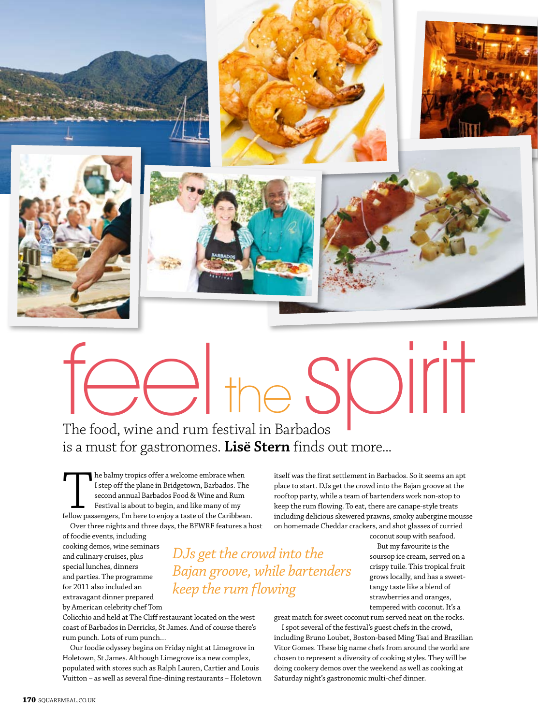

## the SMIT

The food, wine and rum festival in Barbados is a must for gastronomes. **Lisë Stern** finds out more...

*DJs get the crowd into the* 

*keep the rum flowing*

*Bajan groove, while bartenders* 

The balmy tropics offer a welcome embrace when<br>
I step off the plane in Bridgetown, Barbados. The<br>
second annual Barbados Food & Wine and Rum<br>
Festival is about to begin, and like many of my<br>
fellow passengers, I'm here to I step off the plane in Bridgetown, Barbados. The second annual Barbados Food & Wine and Rum Festival is about to begin, and like many of my

Over three nights and three days, the BFWRF features a host of foodie events, including

cooking demos, wine seminars and culinary cruises, plus special lunches, dinners and parties. The programme for 2011 also included an extravagant dinner prepared by American celebrity chef Tom

Colicchio and held at The Cliff restaurant located on the west coast of Barbados in Derricks, St James. And of course there's rum punch. Lots of rum punch…

Our foodie odyssey begins on Friday night at Limegrove in Holetown, St James. Although Limegrove is a new complex, populated with stores such as Ralph Lauren, Cartier and Louis Vuitton – as well as several fine-dining restaurants – Holetown itself was the first settlement in Barbados. So it seems an apt place to start. DJs get the crowd into the Bajan groove at the rooftop party, while a team of bartenders work non-stop to keep the rum flowing. To eat, there are canape-style treats including delicious skewered prawns, smoky aubergine mousse on homemade Cheddar crackers, and shot glasses of curried

coconut soup with seafood.

But my favourite is the soursop ice cream, served on a crispy tuile. This tropical fruit grows locally, and has a sweettangy taste like a blend of strawberries and oranges, tempered with coconut. It's a

great match for sweet coconut rum served neat on the rocks.

I spot several of the festival's guest chefs in the crowd, including Bruno Loubet, Boston-based Ming Tsai and Brazilian Vitor Gomes. These big name chefs from around the world are chosen to represent a diversity of cooking styles. They will be doing cookery demos over the weekend as well as cooking at Saturday night's gastronomic multi-chef dinner.